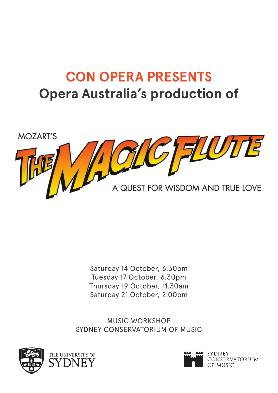# **CON OPERA PRESENTS Opera Australia's production of**



Saturday 14 October, 6.30pm Tuesday 17 October, 6.30pm Thursday 19 October, 11.30am Saturday 21 October, 2.00pm

MUSIC WORKSHOP SYDNEY CONSERVATORIUM OF MUSIC



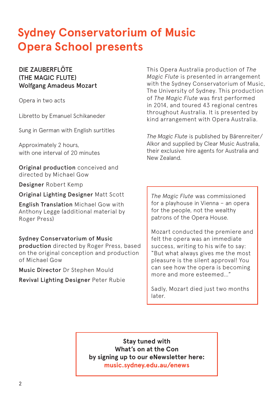# **Sydney Conservatorium of Music Opera School presents**

### DIE ZAUBERFLÖTE (THE MAGIC FLUTE) Wolfgang Amadeus Mozart

Opera in two acts

Libretto by Emanuel Schikaneder

Sung in German with English surtitles

Approximately 2 hours, with one interval of 20 minutes

Original production conceived and directed by Michael Gow

Designer Robert Kemp

Original Lighting Designer Matt Scott

English Translation Michael Gow with Anthony Legge (additional material by Roger Press)

### Sydney Conservatorium of Music

production directed by Roger Press, based on the original conception and production of Michael Gow

Music Director Dr Stephen Mould

Revival Lighting Designer Peter Rubie

This Opera Australia production of *The Magic Flute* is presented in arrangement with the Sydney Conservatorium of Music, The University of Sydney. This production of *The Magic Flute* was first performed in 2014, and toured 43 regional centres throughout Australia. It is presented by kind arrangement with Opera Australia.

*The Magic Flute* is published by Bärenreiter/ Alkor and supplied by Clear Music Australia, their exclusive hire agents for Australia and New Zealand.

*The Magic Flute* was commissioned for a playhouse in Vienna – an opera for the people, not the wealthy patrons of the Opera House.

Mozart conducted the premiere and felt the opera was an immediate success, writing to his wife to say: "But what always gives me the most pleasure is the silent approval! You can see how the opera is becoming more and more esteemed…"

Sadly, Mozart died just two months later.

**Stay tuned with What's on at the Con by signing up to our eNewsletter here: music.sydney.edu.au/enews**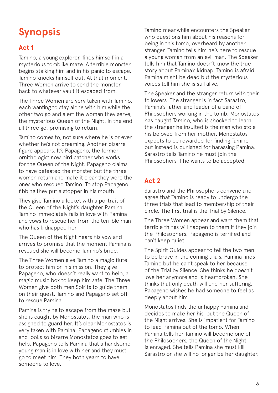# **Synopsis**

### **Act 1**

Tamino, a young explorer, finds himself in a mysterious tomblike maze. A terrible monster begins stalking him and in his panic to escape, Tamino knocks himself out. At that moment, Three Women arrive to send the monster back to whatever vault it escaped from.

The Three Women are very taken with Tamino, each wanting to stay alone with him while the other two go and alert the woman they serve, the mysterious Queen of the Night. In the end all three go, promising to return.

Tamino comes to, not sure where he is or even whether he's not dreaming. Another bizarre figure appears. It's Papageno, the former ornithologist now bird catcher who works for the Queen of the Night. Papageno claims to have defeated the monster but the three women return and make it clear they were the ones who rescued Tamino. To stop Papageno fibbing they put a stopper in his mouth.

They give Tamino a locket with a portrait of the Queen of the Night's daughter Pamina. Tamino immediately falls in love with Pamina and vows to rescue her from the terrible man who has kidnapped her.

The Queen of the Night hears his vow and arrives to promise that the moment Pamina is rescued she will become Tamino's bride.

The Three Women give Tamino a magic flute to protect him on his mission. They give Papageno, who doesn't really want to help, a magic music box to keep him safe. The Three Women give both men Spirits to guide them on their quest. Tamino and Papageno set off to rescue Pamina.

Pamina is trying to escape from the maze but she is caught by Monostatos, the man who is assigned to guard her. It's clear Monostatos is very taken with Pamina. Papageno stumbles in and looks so bizarre Monostatos goes to get help. Papageno tells Pamina that a handsome young man is in love with her and they must go to meet him. They both yearn to have someone to love.

Tamino meanwhile encounters the Speaker who questions him about his reasons for being in this tomb, overheard by another stranger. Tamino tells him he's here to rescue a young woman from an evil man. The Speaker tells him that Tamino doesn't know the true story about Pamina's kidnap. Tamino is afraid Pamina might be dead but the mysterious voices tell him she is still alive.

The Speaker and the stranger return with their followers. The stranger is in fact Sarastro, Pamina's father and leader of a band of Philosophers working in the tomb. Monostatos has caught Tamino, who is shocked to learn the stranger he insulted is the man who stole his beloved from her mother. Monostatos expects to be rewarded for finding Tamino but instead is punished for harassing Pamina. Sarastro tells Tamino he must join the Philosophers if he wants to be accepted.

### **Act 2**

Sarastro and the Philosophers convene and agree that Tamino is ready to undergo the three trials that lead to membership of their circle. The first trial is the Trial by Silence.

The Three Women appear and warn them that terrible things will happen to them if they join the Philosophers. Papageno is terrified and can't keep quiet.

The Spirit Guides appear to tell the two men to be brave in the coming trials. Pamina finds Tamino but he can't speak to her because of the Trial by Silence. She thinks he doesn't love her anymore and is heartbroken. She thinks that only death will end her suffering. Papageno wishes he had someone to feel as deeply about him.

Monostatos finds the unhappy Pamina and decides to make her his, but the Queen of the Night arrives. She is impatient for Tamino to lead Pamina out of the tomb. When Pamina tells her Tamino will become one of the Philosophers, the Queen of the Night is enraged. She tells Pamina she must kill Sarastro or she will no longer be her daughter.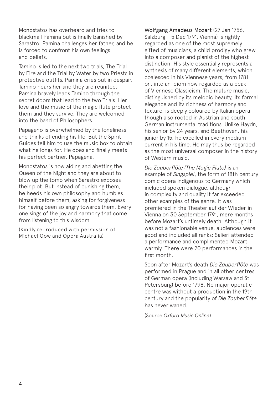Monostatos has overheard and tries to blackmail Pamina but is finally banished by Sarastro. Pamina challenges her father, and he is forced to confront his own feelings and beliefs.

Tamino is led to the next two trials, The Trial by Fire and the Trial by Water by two Priests in protective outfits. Pamina cries out in despair, Tamino hears her and they are reunited. Pamina bravely leads Tamino through the secret doors that lead to the two Trials. Her love and the music of the magic flute protect them and they survive. They are welcomed into the band of Philosophers.

Papageno is overwhelmed by the loneliness and thinks of ending his life. But the Spirit Guides tell him to use the music box to obtain what he longs for. He does and finally meets his perfect partner, Papagena.

Monostatos is now aiding and abetting the Queen of the Night and they are about to blow up the tomb when Sarastro exposes their plot. But instead of punishing them, he heeds his own philosophy and humbles himself before them, asking for forgiveness for having been so angry towards them. Every one sings of the joy and harmony that come from listening to this wisdom.

(Kindly reproduced with permission of Michael Gow and Opera Australia)

Wolfgang Amadeus Mozart (27 Jan 1756, Salzburg – 5 Dec 1791, Vienna) is rightly regarded as one of the most supremely gifted of musicians, a child prodigy who grew into a composer and pianist of the highest distinction. His style essentially represents a synthesis of many different elements, which coalesced in his Viennese years, from 1781 on, into an idiom now regarded as a peak of Viennese Classicism. The mature music, distinguished by its melodic beauty, its formal elegance and its richness of harmony and texture, is deeply coloured by Italian opera though also rooted in Austrian and south German instrumental traditions. Unlike Haydn, his senior by 24 years, and Beethoven, his junior by 15, he excelled in every medium current in his time. He may thus be regarded as the most universal composer in the history of Western music.

*Die Zauberflöte (The Magic Flute)* is an example of *Singspiel*, the form of 18th century comic opera indigenous to Germany which included spoken dialogue, although in complexity and quality it far exceeded other examples of the genre. It was premiered in the Theater auf der Wieder in Vienna on 30 September 1791, mere months before Mozart's untimely death. Although it was not a fashionable venue, audiences were good and included all ranks; Salieri attended a performance and complimented Mozart warmly. There were 20 performances in the first month.

Soon after Mozart's death *Die Zauberflöte* was performed in Prague and in all other centres of German opera (including Warsaw and St Petersburg) before 1798. No major operatic centre was without a production in the 19th century and the popularity of *Die Zauberflöte* has never waned.

(Source *Oxford Music Online*)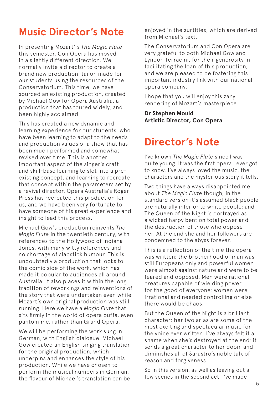### **Music Director's Note**

In presenting Mozart' s *The Magic Flute* this semester, Con Opera has moved in a slightly different direction. We normally invite a director to create a brand new production, tailor-made for our students using the resources of the Conservatorium. This time, we have sourced an existing production, created by Michael Gow for Opera Australia, a production that has toured widely, and been highly acclaimed.

This has created a new dynamic and learning experience for our students, who have been learning to adapt to the needs and production values of a show that has been much performed and somewhat revised over time. This is another important aspect of the singer's craft and skill-base learning to slot into a preexisting concept, and learning to recreate that concept within the parameters set by a revival director. Opera Australia's Roger Press has recreated this production for us, and we have been very fortunate to have someone of his great experience and insight to lead this process.

Michael Gow's production reinvents *The Magic Flute* in the twentieth century, with references to the Hollywood of Indiana Jones, with many witty references and no shortage of slapstick humour. This is undoubtedly a production that looks to the comic side of the work, which has made it popular to audiences all around Australia. It also places it within the long tradition of reworkings and reinventions of the story that were undertaken even while Mozart's own original production was still running. Here we have a *Magic Flute* that sits firmly in the world of opera buffa, even pantomime, rather than Grand Opera.

We will be performing the work sung in German, with English dialogue. Michael Gow created an English singing translation for the original production, which underpins and enhances the style of his production. While we have chosen to perform the musical numbers in German, the flavour of Michael's translation can be

enjoyed in the surtitles, which are derived from Michael's text.

The Conservatorium and Con Opera are very grateful to both Michael Gow and Lyndon Terracini, for their generosity in facilitating the loan of this production, and we are pleased to be fostering this important industry link with our national opera company.

I hope that you will enjoy this zany rendering of Mozart's masterpiece.

#### **Dr Stephen Mould Artistic Director, Con Opera**

### **Director's Note**

I've known *The Magic Flute* since I was quite young. It was the first opera I ever got to know. I've always loved the music, the characters and the mysterious story it tells.

Two things have always disappointed me about *The Magic Flute* though; in the standard version it's assumed black people are naturally inferior to white people; and The Queen of the Night is portrayed as a wicked harpy bent on total power and the destruction of those who oppose her. At the end she and her followers are condemned to the abyss forever.

This is a reflection of the time the opera was written; the brotherhood of man was still Europeans only and powerful women were almost against nature and were to be feared and opposed. Men were rational creatures capable of wielding power for the good of everyone; women were irrational and needed controlling or else there would be chaos.

But the Queen of the Night is a brilliant character; her two arias are some of the most exciting and spectacular music for the voice ever written. I've always felt it a shame when she's destroyed at the end; it sends a great character to her doom and diminishes all of Sarastro's noble talk of reason and forgiveness.

So in this version, as well as leaving out a few scenes in the second act, I've made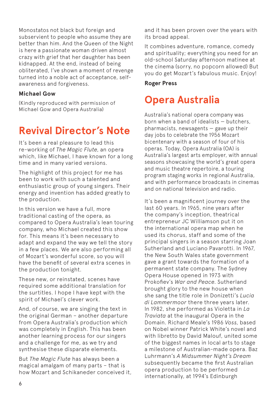Monostatos not black but foreign and subservient to people who assume they are better than him. And the Queen of the Night is here a passionate woman driven almost crazy with grief that her daughter has been kidnapped. At the end, instead of being obliterated, I've shown a moment of revenge turned into a noble act of acceptance, selfawareness and forgiveness.

#### **Michael Gow**

(Kindly reproduced with permission of Michael Gow and Opera Australia)

### **Revival Director's Note**

It's been a real pleasure to lead this re-working of *The Magic Flute*, an opera which, like Michael, I have known for a long time and in many varied versions.

The highlight of this project for me has been to work with such a talented and enthusiastic group of young singers. Their energy and invention has added greatly to the production.

In this version we have a full, more traditional casting of the opera, as compared to Opera Australia's lean touring company, who Michael created this show for. This means it's been necessary to adapt and expand the way we tell the story in a few places. We are also performing all of Mozart's wonderful score, so you will have the benefit of several extra scenes in the production tonight.

These new, or reinstated, scenes have required some additional translation for the surtitles. I hope I have kept with the spirit of Michael's clever work.

And, of course, we are singing the text in the original German – another departure from Opera Australia's production which was completely in English. This has been another learning process for our singers and a challenge for me, as we try and synthesise these disparate elements.

But *The Magic Flute* has always been a magical amalgam of many parts – that is how Mozart and Schikaneder conceived it, and it has been proven over the years with its broad appeal.

It combines adventure, romance, comedy and spirituality; everything you need for an old-school Saturday afternoon matinee at the cinema (sorry, no popcorn allowed) But you do get Mozart's fabulous music. Enjoy!

#### **Roger Press**

### **Opera Australia**

Australia's national opera company was born when a band of idealists — butchers,  $pharmacists$ , newsagents  $-$  gave up their day jobs to celebrate the 1956 Mozart bicentenary with a season of four of his operas. Today, Opera Australia (OA) is Australia's largest arts employer, with annual seasons showcasing the world's great opera and music theatre repertoire, a touring program staging works in regional Australia, and with performance broadcasts in cinemas and on national television and radio.

It's been a magnificent journey over the last 60 years. In 1965, nine years after the company's inception, theatrical entrepreneur JC Williamson put it on the international opera map when he used its chorus, staff and some of the principal singers in a season starring Joan Sutherland and Luciano Pavarotti. In 1967, the New South Wales state government gave a grant towards the formation of a permanent state company. The Sydney Opera House opened in 1973 with Prokofiev's *War and Peace*. Sutherland brought glory to the new house when she sang the title role in Donizetti's *Lucia di Lammermoor* there three years later. In 1982, she performed as Violetta in *La Traviata* at the inaugural Opera in the Domain. Richard Meale's 1986 *Voss*, based on Nobel winner Patrick White's novel and with libretto by David Malouf, united some of the biggest names in local arts to stage a milestone of Australian-made opera. Baz Luhrmann's *A Midsummer Night's Dream*  subsequently became the first Australian opera production to be performed internationally, at 1994's Edinburgh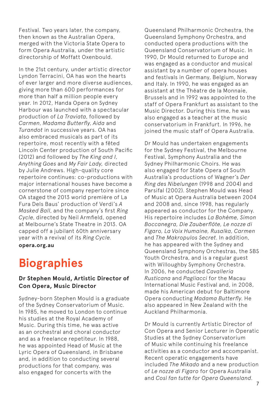Festival. Two years later, the company, then known as the Australian Opera, merged with the Victoria State Opera to form Opera Australia, under the artistic directorship of Moffatt Oxenbould.

In the 21st century, under artistic director Lyndon Terracini, OA has won the hearts of ever larger and more diverse audiences, giving more than 600 performances for more than half a million people every year. In 2012, Handa Opera on Sydney Harbour was launched with a spectacular production of *La Traviata*, followed by *Carmen*, *Madama Butterfly*, *Aida* and *Turandot* in successive years. OA has also embraced musicals as part of its repertoire, most recently with a fêted Lincoln Center production of South Pacific (2012) and followed by *The King and I*, *Anything Goes* and *My Fair Lady,* directed by Julie Andrews. High-quality core repertoire continues: co-productions with major international houses have become a cornerstone of company repertoire since OA staged the 2013 world première of La Fura Dels Baus' production of Verdi's *A Masked Ball*, and the company's first *Ring Cycle*, directed by Neil Armfield, opened at Melbourne's State Theatre in 2013. OA capped off a jubilant 60th anniversary year with a revival of its *Ring Cycle.*

**opera.org.au**

# **Biographies**

### **Dr Stephen Mould, Artistic Director of Con Opera, Music Director**

Sydney-born Stephen Mould is a graduate of the Sydney Conservatorium of Music. In 1985, he moved to London to continue his studies at the Royal Academy of Music. During this time, he was active as an orchestral and choral conductor and as a freelance repetiteur. In 1988, he was appointed Head of Music at the Lyric Opera of Queensland, in Brisbane and, in addition to conducting several productions for that company, was also engaged for concerts with the

Queensland Philharmonic Orchestra, the Queensland Symphony Orchestra, and conducted opera productions with the Queensland Conservatorium of Music. In 1990, Dr Mould returned to Europe and was engaged as a conductor and musical assistant by a number of opera houses and festivals in Germany, Belgium, Norway and Italy. In 1990, he was engaged as an assistant at the Théatre de la Monnaie, Brussels and in 1992 was appointed to the staff of Opera Frankfurt as assistant to the Music Director. During this time, he was also engaged as a teacher at the music conservatorium in Frankfurt. In 1996, he joined the music staff of Opera Australia.

Dr Mould has undertaken engagements for the Sydney Festival, the Melbourne Festival, Symphony Australia and the Sydney Philharmonic Choirs. He was also engaged for State Opera of South Australia's productions of Wagner's *Der Ring des Nibelungen* (1998 and 2004) and Parsifal (2002). Stephen Mould was Head of Music at Opera Australia between 2004 and 2008 and, since 1998, has regularly appeared as conductor for the Company. His repertoire includes *La Bohème, Simon Boccanegra, Die Zauberflöte, Le nozze di Figaro, La Voix Humaine, Rusalka, Carmen*  and *The Makropulos Secret*. In addition, he has appeared with the Sydney and Queensland Symphony Orchestras, the SBS Youth Orchestra, and is a regular guest with Willoughby Symphony Orchestra. In 2006, he conducted *Cavalleria Rusticana* and *Pagliacci* for the Macau International Music Festival and, in 2008, made his American debut for Baltimore Opera conducting *Madama Butterfly*. He also appeared in New Zealand with the Auckland Philharmonia.

Dr Mould is currently Artistic Director of Con Opera and Senior Lecturer in Operatic Studies at the Sydney Conservatorium of Music while continuing his freelance activities as a conductor and accompanist. Recent operatic engagements have included *The Mikado* and a new production of *Le nozze di Figaro* for Opera Australia and *Così fan tutte for Opera Queensland*.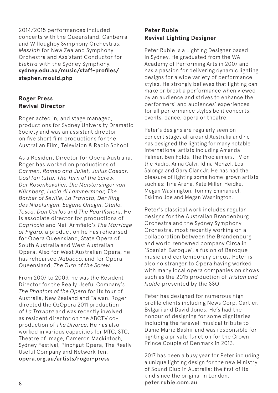2014/2015 performances included concerts with the Queensland, Canberra and Willoughby Symphony Orchestras, *Messiah* for New Zealand Symphony Orchestra and Assistant Conductor for *Elektra* with the Sydney Symphony. **sydney.edu.au/music/staff-profiles/ stephen.mould.php**

### **Roger Press Revival Director**

Roger acted in, and stage managed, productions for Sydney University Dramatic Society and was an assistant director on five short film productions for the Australian Film, Television & Radio School.

As a Resident Director for Opera Australia, Roger has worked on productions of *Carmen*, *Romeo and Juliet, Julius Caesar, Così fan tutte, The Turn of the Screw, Der Rosenkavalier, Die Meistersinger von Nürnberg, Lucia di Lammermoor, The Barber of Seville, La Traviata, Der Ring des Nibelungen, Eugene Onegin, Otello, Tosca, Don Carlos* and *The Pearlfishers*. He is associate director for productions of *Capriccio* and Neil Armfield's *The Marriage of Figaro*, a production he has rehearsed for Opera Queensland, State Opera of South Australia and West Australian Opera. Also for West Australian Opera, he has rehearsed *Nabucco*, and for Opera Queensland, *The Turn of the Screw*.

From 2007 to 2009, he was the Resident Director for the Really Useful Company's *The Phantom of the Opera* for its tour of Australia, New Zealand and Taiwan. Roger directed the OzOpera 2011 production of *La Traviata* and was recently involved as resident director on the ABCTV coproduction of *The Divorce*. He has also worked in various capacities for MTC, STC, Theatre of Image, Cameron Mackintosh, Sydney Festival, Pinchgut Opera, The Really Useful Company and Network Ten. opera.org.au/artists/roger-press

### **Peter Rubie Revival Lighting Designer**

Peter Rubie is a Lighting Designer based in Sydney. He graduated from the WA Academy of Performing Arts in 2007 and has a passion for delivering dynamic lighting designs for a wide variety of performance styles. He strongly believes that lighting can make or break a performance when viewed by an audience and strives to enhance the performers' and audiences' experiences for all performance styles be it concerts, events, dance, opera or theatre.

Peter's designs are regularly seen on concert stages all around Australia and he has designed the lighting for many notable international artists including Amanda Palmer, Ben Folds, The Proclaimers, TV on the Radio, Anna Calvi, Idina Menzel, Lea Salonga and Gary Clark Jr. He has had the pleasure of lighting some home-grown artists such as; Tina Arena, Kate Miller-Heidke, Megan Washington, Tommy Emmanuel, Eskimo Joe and Megan Washington.

Peter's classical work includes regular designs for the Australian Brandenburg Orchestra and the Sydney Symphony Orchestra, most recently working on a collaboration between the Brandenburg and world renowned company Circa in 'Spanish Baroque', a fusion of Baroque music and contemporary circus. Peter is also no stranger to Opera having worked with many local opera companies on shows such as the 2015 production of *Tristan und Isolde* presented by the SSO.

Peter has designed for numerous high profile clients including News Corp, Cartier, Bvlgari and David Jones. He's had the honour of designing for some dignitaries including the farewell musical tribute to Dame Marie Bashir and was responsible for lighting a private function for the Crown Prince Couple of Denmark in 2013.

2017 has been a busy year for Peter including a unique lighting design for the new Ministry of Sound Club in Australia: the first of its kind since the original in London. peter.rubie.com.au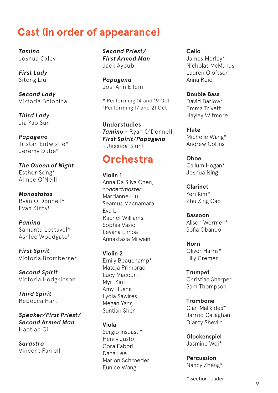### **Cast (in order of appearance)**

*Tamino* Joshua Oxley

*First Lady* Sitong Liu

*Second Lady* Viktoria Bolonina

*Third Lady* Jia Yao Sun

*Papageno* Tristan Entwistle\* Jeremy Dubé‡

*The Queen of Night*  Esther Song\* Aimee O'Neill‡

*Monostatos* Ryan O'Donnell\* Evan Kirby‡

*Pamina* Samanta Lestavel\* Ashlee Woodgate‡

*First Spirit* Victoria Bromberger

*Second Spirit* Victoria Hodgkinson

*Third Spirit* Rebecca Hart

*Speaker/First Priest/ Second Armed Man* Haotian Qi

*Sarastro* Vincent Farrell

*Second Priest/ First Armed Man* Jack Ayoub

*Papagena* Josi Ann Ellem

\* Performing 14 and 19 Oct ‡ Performing 17 and 21 Oct

**Understudies** *Tamino* - Ryan O'Donnell *First Spirit*/*Papagena* - Jessica Blunt

### **Orchestra**

**Violin 1** Anna Da Silva Chen, *concertmaster* Marrianne Liu Seamus Macnamara Eva Li Rachel Williams Sophia Vasic Levana Limoa Annastasia Milwain

**Violin 2** Emily Beauchamp\* Mateja Primorac Lucy Macourt Myri Kim Amy Huang Lydia Sawires Megan Yang Suntian Shen

**Viola** Sergio Insuasti\* Henry Justo Cora Fabbri Dana Lee Marlon Schroeder Eunice Wong

**Cello** James Morley\* Nicholas McManus Lauren Olofsson Anna Reid

**Double Bass** David Barlow\* Emma Trivett Hayley Witmore

**Flute** Michelle Wang\* Andrew Collins

**Oboe** Callum Hogan\* Joshua Ning

**Clarinet** Yeri Kim\* Zhu Xing Cao

**Bassoon** Alison Wormell\* Sofia Obando

**Horn** Oliver Harris\* Lilly Cremer

**Trumpet** Christian Sharpe\* Sam Thompson

**Trombone** Cian Malikides\* Jarrod Callaghan D'arcy Shevlin

**Glockenspiel** Jasmine Wei\*

**Percussion** Nancy Zheng\*

\* Section leader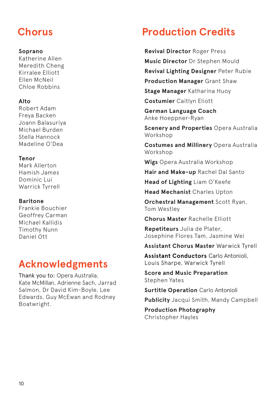#### **Soprano**

Katherine Allen Meredith Cheng Kirralee Elliott Ellen McNeil Chloe Robbins

### **Alto**

Robert Adam Freya Backen Joann Balasuriya Michael Burden Stella Hannock Madeline O'Dea

### **Tenor**

Mark Allerton Hamish James Dominic Lui Warrick Tyrrell

### **Baritone**

Frankie Bouchier Geoffrey Carman Michael Kallidis Timothy Nunn Daniel Ott

### **Acknowledgments**

Thank you to: Opera Australia, Kate McMillan, Adrienne Sach, Jarrad Salmon, Dr David Kim-Boyle, Lee Edwards, Guy McEwan and Rodney Boatwright.

## **Chorus Production Credits**

**Revival Director** Roger Press **Music Director** Dr Stephen Mould **Revival Lighting Designer** Peter Rubie **Production Manager** Grant Shaw **Stage Manager** Katharina Huoy **Costumier** Caitlyn Eliott

**German Language Coach**  Anke Hoeppner-Ryan

**Scenery and Properties** Opera Australia Workshop

**Costumes and Millinery** Opera Australia Workshop

**Wigs** Opera Australia Workshop

**Hair and Make-up** Rachel Dal Santo

**Head of Lighting** Liam O'Keefe

**Head Mechanist** Charles Upton

**Orchestral Management** Scott Ryan, Tom Westley

**Chorus Master** Rachelle Elliott

**Repetiteurs** Julia de Plater, Josephine Flores Tam, Jasmine Wei

**Assistant Chorus Master** Warwick Tyrell

**Assistant Conductors** Carlo Antonioli, Louis Sharpe, Warwick Tyrell

**Score and Music Preparation**  Stephen Yates

**Surtitle Operation** Carlo Antonioli

**Publicity** Jacqui Smith, Mandy Campbell

**Production Photography**  Christopher Hayles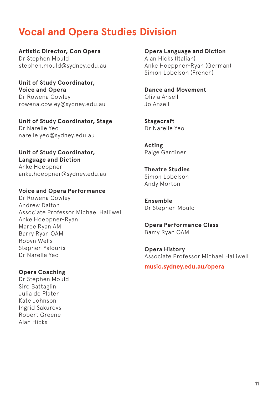### **Vocal and Opera Studies Division**

**Artistic Director, Con Opera** Dr Stephen Mould stephen.mould@sydney.edu.au

**Unit of Study Coordinator, Voice and Opera** Dr Rowena Cowley rowena.cowley@sydney.edu.au

**Unit of Study Coordinator, Stage**  Dr Narelle Yeo narelle.yeo@sydney.edu.au

**Unit of Study Coordinator, Language and Diction** Anke Hoeppner anke.hoeppner@sydney.edu.au

**Voice and Opera Performance**

Dr Rowena Cowley Andrew Dalton Associate Professor Michael Halliwell Anke Hoeppner-Ryan Maree Ryan AM Barry Ryan OAM Robyn Wells Stephen Yalouris Dr Narelle Yeo

**Opera Coaching** 

Dr Stephen Mould Siro Battaglin Julia de Plater Kate Johnson Ingrid Sakurovs Robert Greene Alan Hicks

**Opera Language and Diction**  Alan Hicks (Italian) Anke Hoeppner-Ryan (German) Simon Lobelson (French)

**Dance and Movement**  Olivia Ansell Jo Ansell

**Stagecraft** Dr Narelle Yeo

**Acting** Paige Gardiner

**Theatre Studies** Simon Lobelson Andy Morton

**Ensemble** Dr Stephen Mould

**Opera Performance Class** Barry Ryan OAM

**Opera History** Associate Professor Michael Halliwell

**music.sydney.edu.au/opera**